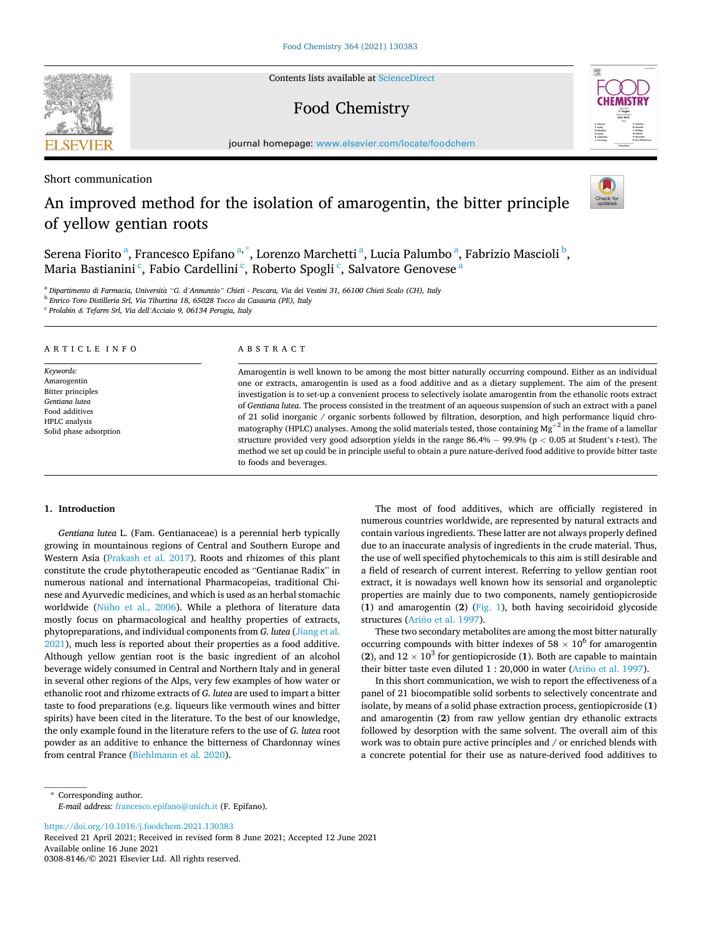Contents lists available at [ScienceDirect](www.sciencedirect.com/science/journal/03088146)

# Food Chemistry

journal homepage: [www.elsevier.com/locate/foodchem](https://www.elsevier.com/locate/foodchem)

Short communication

# An improved method for the isolation of amarogentin, the bitter principle of yellow gentian roots

Serena Fiorito <sup>a</sup>, Francesco Epifano <sup>a, \*</sup>, Lorenzo Marchetti <sup>a</sup>, Lucia Palumbo <sup>a</sup>, Fabrizio Mascioli <sup>b</sup>, Maria Bastianini<sup>c</sup>, Fabio Cardellini<sup>c</sup>, Roberto Spogli<sup>c</sup>, Salvatore Genovese<sup>a</sup>

<sup>a</sup> *Dipartimento di Farmacia, Universita* ` *"G. d'Annunzio" Chieti - Pescara, Via dei Vestini 31, 66100 Chieti Scalo (CH), Italy* 

<sup>b</sup> *Enrico Toro Distilleria Srl, Via Tiburtina 18, 65028 Tocco da Casauria (PE), Italy* 

<sup>c</sup> *Prolabin & Tefarm Srl, Via dell'Acciaio 9, 06134 Perugia, Italy* 

# ARTICLE INFO

*Keywords:*  Amarogentin Bitter principles *Gentiana lutea*  Food additives HPLC analysis Solid phase adsorption

# ABSTRACT

Amarogentin is well known to be among the most bitter naturally occurring compound. Either as an individual one or extracts, amarogentin is used as a food additive and as a dietary supplement. The aim of the present investigation is to set-up a convenient process to selectively isolate amarogentin from the ethanolic roots extract of *Gentiana lutea*. The process consisted in the treatment of an aqueous suspension of such an extract with a panel of 21 solid inorganic / organic sorbents followed by filtration, desorption, and high performance liquid chromatography (HPLC) analyses. Among the solid materials tested, those containing  $Mg^{+2}$  in the frame of a lamellar structure provided very good adsorption yields in the range 86.4% − 99.9% (p *<* 0.05 at Student's *t*-test). The method we set up could be in principle useful to obtain a pure nature-derived food additive to provide bitter taste to foods and beverages.

# **1. Introduction**

*Gentiana lutea* L. (Fam. Gentianaceae) is a perennial herb typically growing in mountainous regions of Central and Southern Europe and Western Asia ([Prakash et al. 2017\)](#page-5-0). Roots and rhizomes of this plant constitute the crude phytotherapeutic encoded as "Gentianae Radix" in numerous national and international Pharmacopeias, traditional Chinese and Ayurvedic medicines, and which is used as an herbal stomachic worldwide [\(Niiho et al., 2006\)](#page-5-0). While a plethora of literature data mostly focus on pharmacological and healthy properties of extracts, phytopreparations, and individual components from *G. lutea* [\(Jiang et al.](#page-5-0)  [2021\)](#page-5-0), much less is reported about their properties as a food additive. Although yellow gentian root is the basic ingredient of an alcohol beverage widely consumed in Central and Northern Italy and in general in several other regions of the Alps, very few examples of how water or ethanolic root and rhizome extracts of *G. lutea* are used to impart a bitter taste to food preparations (e.g. liqueurs like vermouth wines and bitter spirits) have been cited in the literature. To the best of our knowledge, the only example found in the literature refers to the use of *G. lutea* root powder as an additive to enhance the bitterness of Chardonnay wines from central France ([Biehlmann et al. 2020\)](#page-5-0).

The most of food additives, which are officially registered in numerous countries worldwide, are represented by natural extracts and contain various ingredients. These latter are not always properly defined due to an inaccurate analysis of ingredients in the crude material. Thus, the use of well specified phytochemicals to this aim is still desirable and a field of research of current interest. Referring to yellow gentian root extract, it is nowadays well known how its sensorial and organoleptic properties are mainly due to two components, namely gentiopicroside (**1**) and amarogentin (**2**) ([Fig. 1](#page-1-0)), both having secoiridoid glycoside structures (Ariño [et al. 1997\)](#page-5-0).

These two secondary metabolites are among the most bitter naturally occurring compounds with bitter indexes of 58  $\times$  10<sup>6</sup> for amarogentin (2), and  $12 \times 10^3$  for gentiopicroside (1). Both are capable to maintain their bitter taste even diluted 1 : 20,000 in water (Ariño [et al. 1997](#page-5-0)).

In this short communication, we wish to report the effectiveness of a panel of 21 biocompatible solid sorbents to selectively concentrate and isolate, by means of a solid phase extraction process, gentiopicroside (**1**) and amarogentin (**2**) from raw yellow gentian dry ethanolic extracts followed by desorption with the same solvent. The overall aim of this work was to obtain pure active principles and / or enriched blends with a concrete potential for their use as nature-derived food additives to

\* Corresponding author. *E-mail address:* [francesco.epifano@unich.it](mailto:francesco.epifano@unich.it) (F. Epifano).

<https://doi.org/10.1016/j.foodchem.2021.130383>

Available online 16 June 2021 0308-8146/© 2021 Elsevier Ltd. All rights reserved. Received 21 April 2021; Received in revised form 8 June 2021; Accepted 12 June 2021



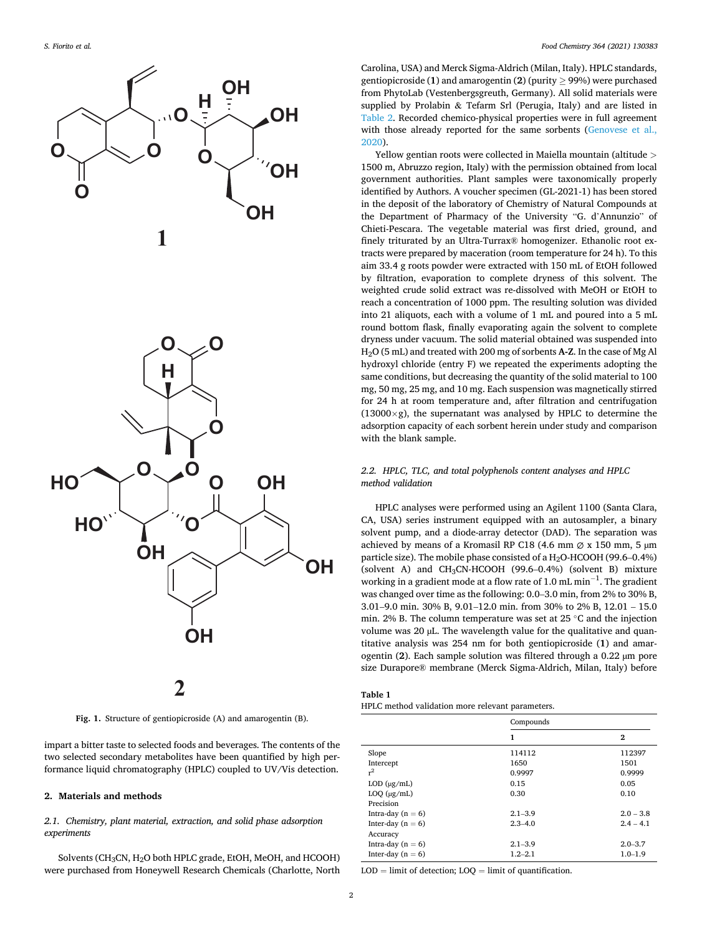<span id="page-1-0"></span>

**Fig. 1.** Structure of gentiopicroside (A) and amarogentin (B).

impart a bitter taste to selected foods and beverages. The contents of the two selected secondary metabolites have been quantified by high performance liquid chromatography (HPLC) coupled to UV/Vis detection.

### **2. Materials and methods**

# *2.1. Chemistry, plant material, extraction, and solid phase adsorption experiments*

Solvents (CH<sub>3</sub>CN, H<sub>2</sub>O both HPLC grade, EtOH, MeOH, and HCOOH) were purchased from Honeywell Research Chemicals (Charlotte, North

Carolina, USA) and Merck Sigma-Aldrich (Milan, Italy). HPLC standards, gentiopicroside (1) and amarogentin (2) (purity  $\geq$  99%) were purchased from PhytoLab (Vestenbergsgreuth, Germany). All solid materials were supplied by Prolabin & Tefarm Srl (Perugia, Italy) and are listed in [Table 2](#page-2-0). Recorded chemico-physical properties were in full agreement with those already reported for the same sorbents (Genovese et al., [2020\)](#page-5-0).

Yellow gentian roots were collected in Maiella mountain (altitude *>* 1500 m, Abruzzo region, Italy) with the permission obtained from local government authorities. Plant samples were taxonomically properly identified by Authors. A voucher specimen (GL-2021-1) has been stored in the deposit of the laboratory of Chemistry of Natural Compounds at the Department of Pharmacy of the University "G. d'Annunzio" of Chieti-Pescara. The vegetable material was first dried, ground, and finely triturated by an Ultra-Turrax® homogenizer. Ethanolic root extracts were prepared by maceration (room temperature for 24 h). To this aim 33.4 g roots powder were extracted with 150 mL of EtOH followed by filtration, evaporation to complete dryness of this solvent. The weighted crude solid extract was re-dissolved with MeOH or EtOH to reach a concentration of 1000 ppm. The resulting solution was divided into 21 aliquots, each with a volume of 1 mL and poured into a 5 mL round bottom flask, finally evaporating again the solvent to complete dryness under vacuum. The solid material obtained was suspended into H2O (5 mL) and treated with 200 mg of sorbents **A-Z**. In the case of Mg Al hydroxyl chloride (entry F) we repeated the experiments adopting the same conditions, but decreasing the quantity of the solid material to 100 mg, 50 mg, 25 mg, and 10 mg. Each suspension was magnetically stirred for 24 h at room temperature and, after filtration and centrifugation  $(13000\times g)$ , the supernatant was analysed by HPLC to determine the adsorption capacity of each sorbent herein under study and comparison with the blank sample.

# *2.2. HPLC, TLC, and total polyphenols content analyses and HPLC method validation*

HPLC analyses were performed using an Agilent 1100 (Santa Clara, CA, USA) series instrument equipped with an autosampler, a binary solvent pump, and a diode-array detector (DAD). The separation was achieved by means of a Kromasil RP C18 (4.6 mm  $\varnothing$  x 150 mm, 5 µm particle size). The mobile phase consisted of a H<sub>2</sub>O-HCOOH (99.6-0.4%) (solvent A) and CH3CN-HCOOH (99.6–0.4%) (solvent B) mixture working in a gradient mode at a flow rate of 1.0 mL min<sup>-1</sup>. The gradient was changed over time as the following: 0.0–3.0 min, from 2% to 30% B, 3.01–9.0 min. 30% B, 9.01–12.0 min. from 30% to 2% B, 12.01 – 15.0 min. 2% B. The column temperature was set at 25 ◦C and the injection volume was 20 µL. The wavelength value for the qualitative and quantitative analysis was 254 nm for both gentiopicroside (**1**) and amarogentin (**2**). Each sample solution was filtered through a 0.22 µm pore size Durapore® membrane (Merck Sigma-Aldrich, Milan, Italy) before

| Table 1 |                                                  |  |
|---------|--------------------------------------------------|--|
|         | HPLC method validation more relevant parameters. |  |

|                     | Compounds   |             |  |
|---------------------|-------------|-------------|--|
|                     | 1           | 2           |  |
| Slope               | 114112      | 112397      |  |
| Intercept           | 1650        | 1501        |  |
| $r^2$               | 0.9997      | 0.9999      |  |
| $LOD$ ( $\mu$ g/mL) | 0.15        | 0.05        |  |
| $LOQ$ ( $\mu$ g/mL) | 0.30        | 0.10        |  |
| Precision           |             |             |  |
| Intra-day $(n = 6)$ | $2.1 - 3.9$ | $2.0 - 3.8$ |  |
| Inter-day $(n = 6)$ | $2.3 - 4.0$ | $2.4 - 4.1$ |  |
| Accuracy            |             |             |  |
| Intra-day $(n = 6)$ | $2.1 - 3.9$ | $2.0 - 3.7$ |  |
| Inter-day $(n = 6)$ | $1.2 - 2.1$ | $1.0 - 1.9$ |  |

 $LOD =$  limit of detection:  $LOO =$  limit of quantification.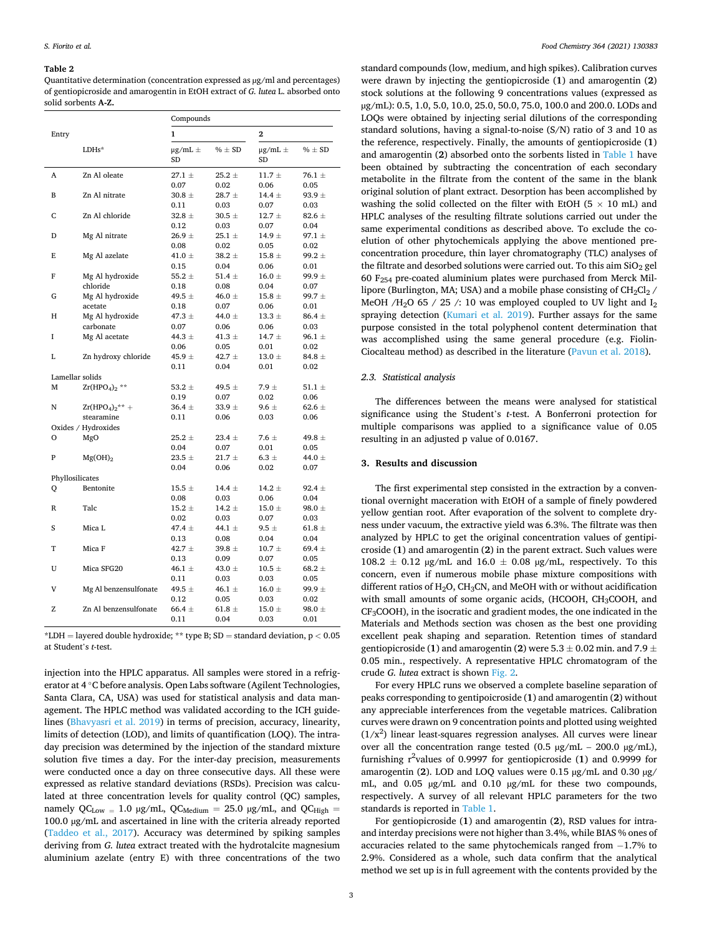#### <span id="page-2-0"></span>**Table 2**

Quantitative determination (concentration expressed as µg/ml and percentages) of gentiopicroside and amarogentin in EtOH extract of *G. lutea* L. absorbed onto solid sorbents **A-Z.** 

|                 |                            | Compounds              |                    |                        |                    |
|-----------------|----------------------------|------------------------|--------------------|------------------------|--------------------|
| Entry           |                            | 1                      |                    | $\overline{2}$         |                    |
|                 | LDHs*                      | $\mu$ g/mL $\pm$<br>SD | $% \pm SD$         | $\mu$ g/mL $\pm$<br>SD | $% \pm SD$         |
| A               | Zn Al oleate               | $27.1 \pm$             | $25.2 \pm$         | $11.7 +$               | 76.1 $\pm$         |
|                 |                            | 0.07                   | 0.02               | 0.06                   | 0.05               |
| B               | Zn Al nitrate              | $30.8 \pm$             | $28.7 \pm$         | 14.4 $\pm$             | $93.9 \pm$         |
|                 |                            | 0.11                   | 0.03               | 0.07                   | 0.03               |
| C               | Zn Al chloride             | 32.8 $\pm$             | $30.5 \pm$         | $12.7 \pm$             | $82.6 \pm$         |
|                 |                            | 0.12                   | 0.03               | 0.07                   | 0.04               |
| D               | Mg Al nitrate              | $26.9 \pm$             | $25.1 \pm$         | $14.9 \pm$             | $97.1 \pm$         |
|                 |                            | 0.08                   | 0.02               | 0.05                   | 0.02               |
| E               | Mg Al azelate              | 41.0 $\pm$             | $38.2 \pm$         | $15.8 \pm$             | $99.2 \pm$         |
|                 |                            | 0.15                   | 0.04               | 0.06                   | 0.01               |
| F               | Mg Al hydroxide            | 55.2 $\pm$             | 51.4 $\pm$         | $16.0 \pm$             | 99.9 $\pm$         |
|                 | chloride                   | 0.18                   | 0.08               | 0.04                   | 0.07               |
| G               | Mg Al hydroxide            | 49.5 $\pm$<br>0.18     | 46.0 $\pm$         | $15.8 \pm$<br>0.06     | $99.7 \pm$<br>0.01 |
| Н               | acetate<br>Mg Al hydroxide | 47.3 $\pm$             | 0.07<br>44.0 $\pm$ | $13.3 \pm$             | $86.4 \pm$         |
|                 | carbonate                  | 0.07                   | 0.06               | 0.06                   | 0.03               |
| I               | Mg Al acetate              | 44.3 $\pm$             | 41.3 $\pm$         | 14.7 $\pm$             | 96.1 $\pm$         |
|                 |                            | 0.06                   | 0.05               | 0.01                   | 0.02               |
| L               | Zn hydroxy chloride        | 45.9 $\pm$             | 42.7 $\pm$         | $13.0 \pm$             | $84.8 \pm$         |
|                 |                            | 0.11                   | 0.04               | 0.01                   | 0.02               |
| Lamellar solids |                            |                        |                    |                        |                    |
| М               | $Zr(HPO4)2$ **             | 53.2 $\pm$             | 49.5 $\pm$         | $7.9 \pm$              | 51.1 $\pm$         |
|                 |                            | 0.19                   | 0.07               | 0.02                   | 0.06               |
| N               | $Zr(HPO4)2** +$            | $36.4 \pm$             | 33.9 $\pm$         | $9.6 \pm$              | 62.6 $\pm$         |
|                 | stearamine                 | 0.11                   | 0.06               | 0.03                   | 0.06               |
|                 | Oxides / Hydroxides        |                        |                    |                        |                    |
| О               | MgO                        | $25.2 \pm$             | $23.4 \pm$         | $7.6 \pm$              | 49.8 $\pm$         |
|                 |                            | 0.04                   | 0.07               | 0.01                   | 0.05               |
| P               | $Mg(OH)_2$                 | $23.5 \pm$             | $21.7 +$           | $6.3 \pm$              | 44.0 $\pm$         |
|                 |                            | 0.04                   | 0.06               | 0.02                   | 0.07               |
| Phyllosilicates |                            |                        |                    |                        |                    |
| Q               | Bentonite                  | $15.5 \pm$             | 14.4 $\pm$         | $14.2 \pm$             | $92.4 \pm$         |
|                 |                            | 0.08                   | 0.03               | 0.06                   | 0.04               |
| R               | Talc                       | $15.2 \pm$             | 14.2 $\pm$         | $15.0 \pm$             | 98.0 $\pm$         |
|                 |                            | 0.02                   | 0.03               | 0.07                   | 0.03               |
| S               | Mica L                     | 47.4 $\pm$             | 44.1 $\pm$         | 9.5 $\pm$              | 61.8 $\pm$         |
|                 |                            | 0.13                   | 0.08               | 0.04                   | 0.04               |
| T               | Mica F                     | 42.7 $\pm$             | $39.8 \pm$         | $10.7 \pm$             | 69.4 $\pm$         |
|                 |                            | 0.13                   | 0.09               | 0.07                   | 0.05               |
| U               | Mica SFG20                 | 46.1 $\pm$             | 43.0 $\pm$         | $10.5 \pm$             | $68.2 \pm$         |
|                 |                            | 0.11                   | 0.03               | 0.03                   | 0.05               |
| V               | Mg Al benzensulfonate      | 49.5 $\pm$             | 46.1 $\pm$         | $16.0 \pm$             | $99.9 \pm$         |
|                 |                            | 0.12                   | 0.05               | 0.03                   | 0.02               |
| Z               | Zn Al benzensulfonate      | $66.4 \pm$             | 61.8 $\pm$         | $15.0 \pm$             | 98.0 $\pm$         |
|                 |                            | 0.11                   | 0.04               | 0.03                   | 0.01               |

\*LDH = layered double hydroxide; \*\* type B; SD = standard deviation, p *<* 0.05 at Student's *t*-test.

injection into the HPLC apparatus. All samples were stored in a refrigerator at 4 ◦C before analysis. Open Labs software (Agilent Technologies, Santa Clara, CA, USA) was used for statistical analysis and data management. The HPLC method was validated according to the ICH guidelines ([Bhavyasri et al. 2019\)](#page-5-0) in terms of precision, accuracy, linearity, limits of detection (LOD), and limits of quantification (LOQ). The intraday precision was determined by the injection of the standard mixture solution five times a day. For the inter-day precision, measurements were conducted once a day on three consecutive days. All these were expressed as relative standard deviations (RSDs). Precision was calculated at three concentration levels for quality control (QC) samples, namely QC<sub>Low =</sub> 1.0 µg/mL, QC<sub>Medium</sub> = 25.0 µg/mL, and QC<sub>High</sub> = 100.0 µg/mL and ascertained in line with the criteria already reported ([Taddeo et al., 2017](#page-5-0)). Accuracy was determined by spiking samples deriving from *G. lutea* extract treated with the hydrotalcite magnesium aluminium azelate (entry E) with three concentrations of the two

standard compounds (low, medium, and high spikes). Calibration curves were drawn by injecting the gentiopicroside (**1**) and amarogentin (**2**) stock solutions at the following 9 concentrations values (expressed as µg/mL): 0.5, 1.0, 5.0, 10.0, 25.0, 50.0, 75.0, 100.0 and 200.0. LODs and LOQs were obtained by injecting serial dilutions of the corresponding standard solutions, having a signal-to-noise (S/N) ratio of 3 and 10 as the reference, respectively. Finally, the amounts of gentiopicroside (**1**) and amarogentin (**2**) absorbed onto the sorbents listed in [Table 1](#page-1-0) have been obtained by subtracting the concentration of each secondary metabolite in the filtrate from the content of the same in the blank original solution of plant extract. Desorption has been accomplished by washing the solid collected on the filter with EtOH ( $5 \times 10$  mL) and HPLC analyses of the resulting filtrate solutions carried out under the same experimental conditions as described above. To exclude the coelution of other phytochemicals applying the above mentioned preconcentration procedure, thin layer chromatography (TLC) analyses of the filtrate and desorbed solutions were carried out. To this aim  $SiO<sub>2</sub>$  gel 60 F254 pre-coated aluminium plates were purchased from Merck Millipore (Burlington, MA; USA) and a mobile phase consisting of  $CH_2Cl_2$  / MeOH /H<sub>2</sub>O 65 / 25 /: 10 was employed coupled to UV light and  $I_2$ spraying detection [\(Kumari et al. 2019](#page-5-0)). Further assays for the same purpose consisted in the total polyphenol content determination that was accomplished using the same general procedure (e.g. Fiolin-Ciocalteau method) as described in the literature [\(Pavun et al. 2018](#page-5-0)).

# *2.3. Statistical analysis*

The differences between the means were analysed for statistical significance using the Student's *t*-test. A Bonferroni protection for multiple comparisons was applied to a significance value of 0.05 resulting in an adjusted p value of 0.0167.

## **3. Results and discussion**

The first experimental step consisted in the extraction by a conventional overnight maceration with EtOH of a sample of finely powdered yellow gentian root. After evaporation of the solvent to complete dryness under vacuum, the extractive yield was 6.3%. The filtrate was then analyzed by HPLC to get the original concentration values of gentipicroside (**1**) and amarogentin (**2**) in the parent extract. Such values were  $108.2 \pm 0.12$  µg/mL and  $16.0 \pm 0.08$  µg/mL, respectively. To this concern, even if numerous mobile phase mixture compositions with different ratios of  $H_2O$ , CH<sub>3</sub>CN, and MeOH with or without acidification with small amounts of some organic acids, (HCOOH, CH<sub>3</sub>COOH, and CF3COOH), in the isocratic and gradient modes, the one indicated in the Materials and Methods section was chosen as the best one providing excellent peak shaping and separation. Retention times of standard gentiopicroside (1) and amarogentin (2) were  $5.3 \pm 0.02$  min. and  $7.9 \pm 0.02$ 0.05 min., respectively. A representative HPLC chromatogram of the crude *G. lutea* extract is shown [Fig. 2](#page-3-0).

For every HPLC runs we observed a complete baseline separation of peaks corresponding to gentipoicroside (**1**) and amarogentin (**2**) without any appreciable interferences from the vegetable matrices. Calibration curves were drawn on 9 concentration points and plotted using weighted  $(1/x<sup>2</sup>)$  linear least-squares regression analyses. All curves were linear over all the concentration range tested (0.5 µg/mL – 200.0 µg/mL), furnishing r 2 values of 0.9997 for gentiopicroside (**1**) and 0.9999 for amarogentin (**2**). LOD and LOQ values were 0.15 µg/mL and 0.30 µg/ mL, and 0.05  $\mu$ g/mL and 0.10  $\mu$ g/mL for these two compounds, respectively. A survey of all relevant HPLC parameters for the two standards is reported in [Table 1.](#page-1-0)

For gentiopicroside (**1**) and amarogentin (**2**), RSD values for intraand interday precisions were not higher than 3.4%, while BIAS % ones of accuracies related to the same phytochemicals ranged from − 1.7% to 2.9%. Considered as a whole, such data confirm that the analytical method we set up is in full agreement with the contents provided by the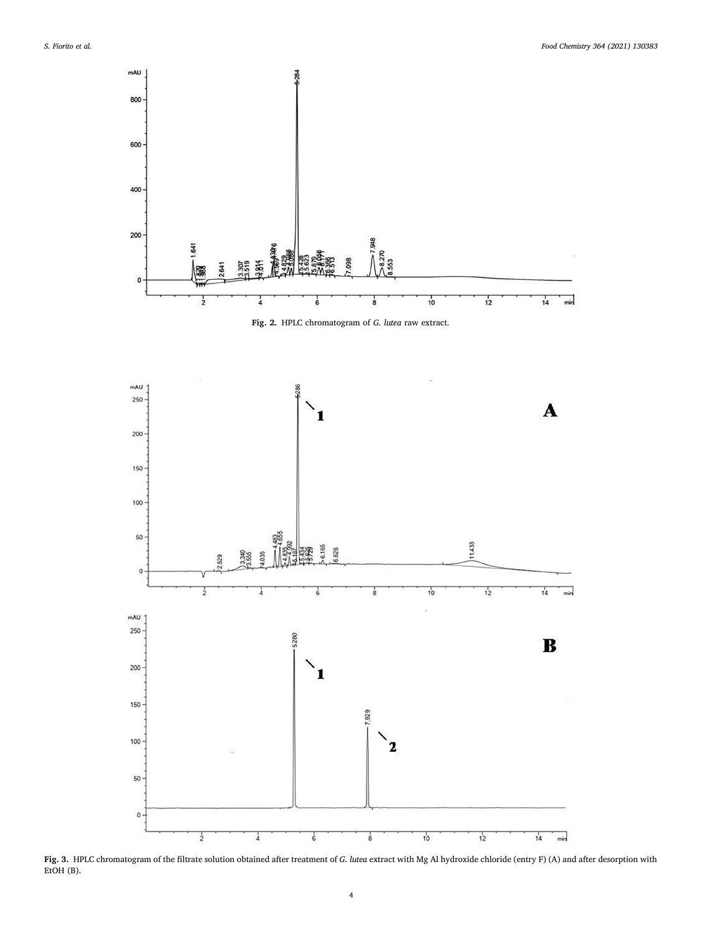<span id="page-3-0"></span>

**Fig. 2.** HPLC chromatogram of *G. lutea* raw extract.



**Fig. 3.** HPLC chromatogram of the filtrate solution obtained after treatment of *G. lutea* extract with Mg Al hydroxide chloride (entry F) (A) and after desorption with EtOH (B).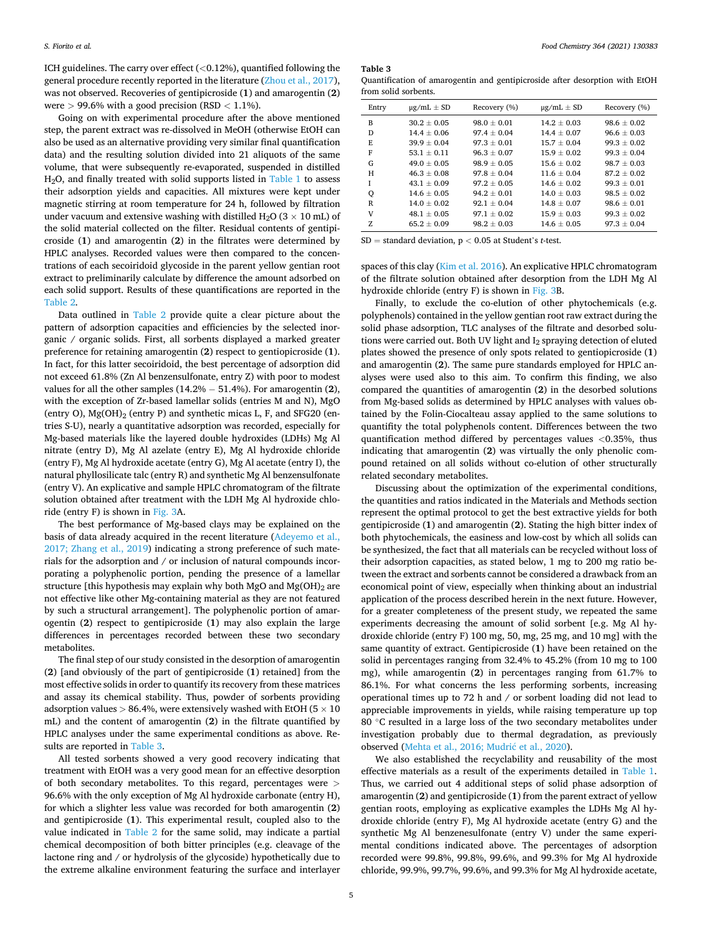ICH guidelines. The carry over effect (*<*0.12%), quantified following the general procedure recently reported in the literature ([Zhou et al., 2017](#page-6-0)), was not observed. Recoveries of gentipicroside (**1**) and amarogentin (**2**) were *>* 99.6% with a good precision (RSD *<* 1.1%).

Going on with experimental procedure after the above mentioned step, the parent extract was re-dissolved in MeOH (otherwise EtOH can also be used as an alternative providing very similar final quantification data) and the resulting solution divided into 21 aliquots of the same volume, that were subsequently re-evaporated, suspended in distilled H<sub>2</sub>O, and finally treated with solid supports listed in [Table 1](#page-1-0) to assess their adsorption yields and capacities. All mixtures were kept under magnetic stirring at room temperature for 24 h, followed by filtration under vacuum and extensive washing with distilled H<sub>2</sub>O ( $3 \times 10$  mL) of the solid material collected on the filter. Residual contents of gentipicroside (**1**) and amarogentin (**2**) in the filtrates were determined by HPLC analyses. Recorded values were then compared to the concentrations of each secoiridoid glycoside in the parent yellow gentian root extract to preliminarily calculate by difference the amount adsorbed on each solid support. Results of these quantifications are reported in the [Table 2](#page-2-0).

Data outlined in [Table 2](#page-2-0) provide quite a clear picture about the pattern of adsorption capacities and efficiencies by the selected inorganic / organic solids. First, all sorbents displayed a marked greater preference for retaining amarogentin (**2**) respect to gentiopicroside (**1**). In fact, for this latter secoiridoid, the best percentage of adsorption did not exceed 61.8% (Zn Al benzensulfonate, entry Z) with poor to modest values for all the other samples (14.2% − 51.4%). For amarogentin (**2**), with the exception of Zr-based lamellar solids (entries M and N), MgO (entry O),  $Mg(OH)$ <sub>2</sub> (entry P) and synthetic micas L, F, and SFG20 (entries S-U), nearly a quantitative adsorption was recorded, especially for Mg-based materials like the layered double hydroxides (LDHs) Mg Al nitrate (entry D), Mg Al azelate (entry E), Mg Al hydroxide chloride (entry F), Mg Al hydroxide acetate (entry G), Mg Al acetate (entry I), the natural phyllosilicate talc (entry R) and synthetic Mg Al benzensulfonate (entry V). An explicative and sample HPLC chromatogram of the filtrate solution obtained after treatment with the LDH Mg Al hydroxide chloride (entry F) is shown in [Fig. 3](#page-3-0)A.

The best performance of Mg-based clays may be explained on the basis of data already acquired in the recent literature ([Adeyemo et al.,](#page-5-0)  [2017; Zhang et al., 2019\)](#page-5-0) indicating a strong preference of such materials for the adsorption and / or inclusion of natural compounds incorporating a polyphenolic portion, pending the presence of a lamellar structure [this hypothesis may explain why both MgO and  $Mg(OH)$ <sub>2</sub> are not effective like other Mg-containing material as they are not featured by such a structural arrangement]. The polyphenolic portion of amarogentin (**2**) respect to gentipicroside (**1**) may also explain the large differences in percentages recorded between these two secondary metabolites.

The final step of our study consisted in the desorption of amarogentin (**2**) [and obviously of the part of gentipicroside (**1**) retained] from the most effective solids in order to quantify its recovery from these matrices and assay its chemical stability. Thus, powder of sorbents providing adsorption values *>* 86.4%, were extensively washed with EtOH (5 × 10 mL) and the content of amarogentin (**2**) in the filtrate quantified by HPLC analyses under the same experimental conditions as above. Results are reported in Table 3.

All tested sorbents showed a very good recovery indicating that treatment with EtOH was a very good mean for an effective desorption of both secondary metabolites. To this regard, percentages were *>* 96.6% with the only exception of Mg Al hydroxide carbonate (entry H), for which a slighter less value was recorded for both amarogentin (**2**) and gentipicroside (**1**). This experimental result, coupled also to the value indicated in [Table 2](#page-2-0) for the same solid, may indicate a partial chemical decomposition of both bitter principles (e.g. cleavage of the lactone ring and / or hydrolysis of the glycoside) hypothetically due to the extreme alkaline environment featuring the surface and interlayer

**Table 3** 

Quantification of amarogentin and gentipicroside after desorption with EtOH from solid sorbents.

| Entry | $\mu$ g/mL $\pm$ SD | Recovery (%)  | $\mu$ g/mL $\pm$ SD | Recovery (%)  |
|-------|---------------------|---------------|---------------------|---------------|
| B     | $30.2 + 0.05$       | $98.0 + 0.01$ | $14.2 + 0.03$       | $98.6 + 0.02$ |
| D     | $14.4 + 0.06$       | $97.4 + 0.04$ | $14.4 + 0.07$       | $96.6 + 0.03$ |
| E     | $39.9 + 0.04$       | $97.3 + 0.01$ | $15.7 + 0.04$       | $99.3 + 0.02$ |
| F     | $53.1 + 0.11$       | $96.3 + 0.07$ | $15.9 + 0.02$       | $99.3 + 0.04$ |
| G     | $49.0 + 0.05$       | $98.9 + 0.05$ | $15.6 + 0.02$       | $98.7 + 0.03$ |
| н     | $46.3 + 0.08$       | $97.8 + 0.04$ | $11.6 + 0.04$       | $87.2 + 0.02$ |
| Ī     | $43.1 + 0.09$       | $97.2 + 0.05$ | $14.6 + 0.02$       | $99.3 + 0.01$ |
| Q     | $14.6 + 0.05$       | $94.2 + 0.01$ | $14.0 + 0.03$       | $98.5 + 0.02$ |
| R     | $14.0 + 0.02$       | $92.1 + 0.04$ | $14.8 + 0.07$       | $98.6 + 0.01$ |
| V     | $48.1 + 0.05$       | $97.1 + 0.02$ | $15.9 + 0.03$       | $99.3 + 0.02$ |
| Z.    | $65.2 + 0.09$       | $98.2 + 0.03$ | $14.6 + 0.05$       | $97.3 + 0.04$ |

SD = standard deviation, p *<* 0.05 at Student's *t*-test.

spaces of this clay [\(Kim et al. 2016\)](#page-5-0). An explicative HPLC chromatogram of the filtrate solution obtained after desorption from the LDH Mg Al hydroxide chloride (entry F) is shown in [Fig. 3](#page-3-0)B.

Finally, to exclude the co-elution of other phytochemicals (e.g. polyphenols) contained in the yellow gentian root raw extract during the solid phase adsorption, TLC analyses of the filtrate and desorbed solutions were carried out. Both UV light and I<sub>2</sub> spraying detection of eluted plates showed the presence of only spots related to gentiopicroside (**1**) and amarogentin (**2**). The same pure standards employed for HPLC analyses were used also to this aim. To confirm this finding, we also compared the quantities of amarogentin (**2**) in the desorbed solutions from Mg-based solids as determined by HPLC analyses with values obtained by the Folin-Ciocalteau assay applied to the same solutions to quantifity the total polyphenols content. Differences between the two quantification method differed by percentages values *<*0.35%, thus indicating that amarogentin (**2**) was virtually the only phenolic compound retained on all solids without co-elution of other structurally related secondary metabolites.

Discussing about the optimization of the experimental conditions, the quantities and ratios indicated in the Materials and Methods section represent the optimal protocol to get the best extractive yields for both gentipicroside (**1**) and amarogentin (**2**). Stating the high bitter index of both phytochemicals, the easiness and low-cost by which all solids can be synthesized, the fact that all materials can be recycled without loss of their adsorption capacities, as stated below, 1 mg to 200 mg ratio between the extract and sorbents cannot be considered a drawback from an economical point of view, especially when thinking about an industrial application of the process described herein in the next future. However, for a greater completeness of the present study, we repeated the same experiments decreasing the amount of solid sorbent [e.g. Mg Al hydroxide chloride (entry F) 100 mg, 50, mg, 25 mg, and 10 mg] with the same quantity of extract. Gentipicroside (**1**) have been retained on the solid in percentages ranging from 32.4% to 45.2% (from 10 mg to 100 mg), while amarogentin (**2**) in percentages ranging from 61.7% to 86.1%. For what concerns the less performing sorbents, increasing operational times up to 72 h and / or sorbent loading did not lead to appreciable improvements in yields, while raising temperature up top 80 ℃ resulted in a large loss of the two secondary metabolites under investigation probably due to thermal degradation, as previously observed ([Mehta et al., 2016; Mudri](#page-5-0)ć et al., 2020).

We also established the recyclability and reusability of the most effective materials as a result of the experiments detailed in [Table 1](#page-1-0). Thus, we carried out 4 additional steps of solid phase adsorption of amarogentin (**2**) and gentipicroside (**1**) from the parent extract of yellow gentian roots, employing as explicative examples the LDHs Mg Al hydroxide chloride (entry F), Mg Al hydroxide acetate (entry G) and the synthetic Mg Al benzenesulfonate (entry V) under the same experimental conditions indicated above. The percentages of adsorption recorded were 99.8%, 99.8%, 99.6%, and 99.3% for Mg Al hydroxide chloride, 99.9%, 99.7%, 99.6%, and 99.3% for Mg Al hydroxide acetate,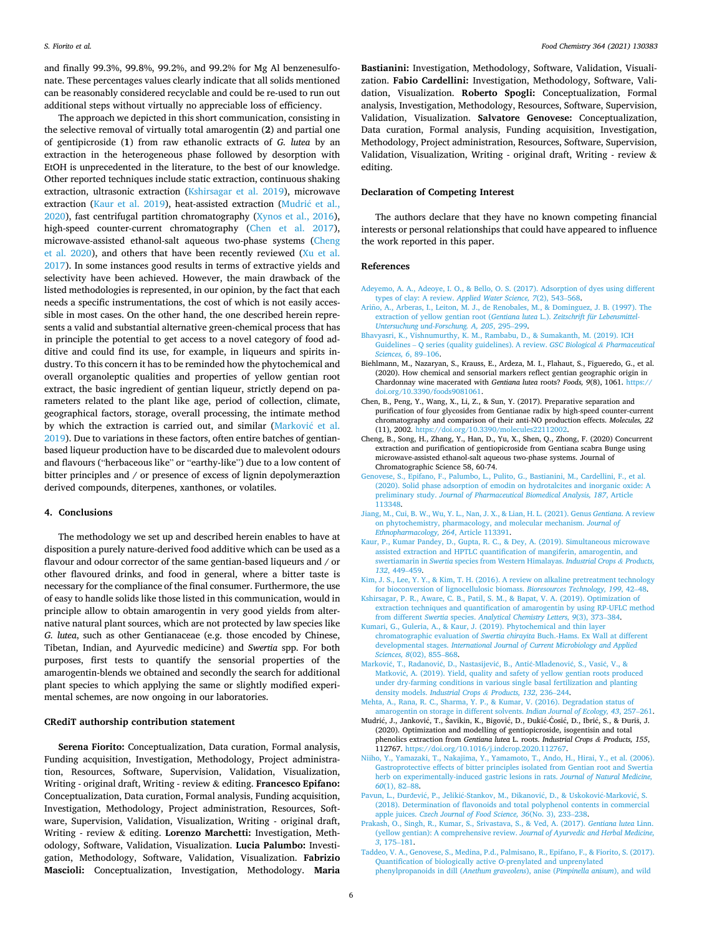<span id="page-5-0"></span>and finally 99.3%, 99.8%, 99.2%, and 99.2% for Mg Al benzenesulfonate. These percentages values clearly indicate that all solids mentioned can be reasonably considered recyclable and could be re-used to run out additional steps without virtually no appreciable loss of efficiency.

The approach we depicted in this short communication, consisting in the selective removal of virtually total amarogentin (**2**) and partial one of gentipicroside (**1**) from raw ethanolic extracts of *G. lutea* by an extraction in the heterogeneous phase followed by desorption with EtOH is unprecedented in the literature, to the best of our knowledge. Other reported techniques include static extraction, continuous shaking extraction, ultrasonic extraction (Kshirsagar et al. 2019), microwave extraction (Kaur et al. 2019), heat-assisted extraction (Mudrić et al., 2020), fast centrifugal partition chromatography ([Xynos et al., 2016](#page-6-0)), high-speed counter-current chromatography (Chen et al. 2017), microwave-assisted ethanol-salt aqueous two-phase systems (Cheng et al. 2020), and others that have been recently reviewed ([Xu et al.](#page-6-0)  [2017\)](#page-6-0). In some instances good results in terms of extractive yields and selectivity have been achieved. However, the main drawback of the listed methodologies is represented, in our opinion, by the fact that each needs a specific instrumentations, the cost of which is not easily accessible in most cases. On the other hand, the one described herein represents a valid and substantial alternative green-chemical process that has in principle the potential to get access to a novel category of food additive and could find its use, for example, in liqueurs and spirits industry. To this concern it has to be reminded how the phytochemical and overall organoleptic qualities and properties of yellow gentian root extract, the basic ingredient of gentian liqueur, strictly depend on parameters related to the plant like age, period of collection, climate, geographical factors, storage, overall processing, the intimate method by which the extraction is carried out, and similar (Marković et al. 2019). Due to variations in these factors, often entire batches of gentianbased liqueur production have to be discarded due to malevolent odours and flavours ("herbaceous like" or "earthy-like") due to a low content of bitter principles and / or presence of excess of lignin depolymeraztion derived compounds, diterpenes, xanthones, or volatiles.

### **4. Conclusions**

The methodology we set up and described herein enables to have at disposition a purely nature-derived food additive which can be used as a flavour and odour corrector of the same gentian-based liqueurs and / or other flavoured drinks, and food in general, where a bitter taste is necessary for the compliance of the final consumer. Furthermore, the use of easy to handle solids like those listed in this communication, would in principle allow to obtain amarogentin in very good yields from alternative natural plant sources, which are not protected by law species like *G. lutea*, such as other Gentianaceae (e.g. those encoded by Chinese, Tibetan, Indian, and Ayurvedic medicine) and *Swertia* spp. For both purposes, first tests to quantify the sensorial properties of the amarogentin-blends we obtained and secondly the search for additional plant species to which applying the same or slightly modified experimental schemes, are now ongoing in our laboratories.

# **CRediT authorship contribution statement**

**Serena Fiorito:** Conceptualization, Data curation, Formal analysis, Funding acquisition, Investigation, Methodology, Project administration, Resources, Software, Supervision, Validation, Visualization, Writing - original draft, Writing - review & editing. **Francesco Epifano:**  Conceptualization, Data curation, Formal analysis, Funding acquisition, Investigation, Methodology, Project administration, Resources, Software, Supervision, Validation, Visualization, Writing - original draft, Writing - review & editing. **Lorenzo Marchetti:** Investigation, Methodology, Software, Validation, Visualization. **Lucia Palumbo:** Investigation, Methodology, Software, Validation, Visualization. **Fabrizio Mascioli:** Conceptualization, Investigation, Methodology. **Maria** 

**Bastianini:** Investigation, Methodology, Software, Validation, Visualization. **Fabio Cardellini:** Investigation, Methodology, Software, Validation, Visualization. **Roberto Spogli:** Conceptualization, Formal analysis, Investigation, Methodology, Resources, Software, Supervision, Validation, Visualization. **Salvatore Genovese:** Conceptualization, Data curation, Formal analysis, Funding acquisition, Investigation, Methodology, Project administration, Resources, Software, Supervision, Validation, Visualization, Writing - original draft, Writing - review & editing.

## **Declaration of Competing Interest**

The authors declare that they have no known competing financial interests or personal relationships that could have appeared to influence the work reported in this paper.

#### **References**

- [Adeyemo, A. A., Adeoye, I. O., & Bello, O. S. \(2017\). Adsorption of dyes using different](http://refhub.elsevier.com/S0308-8146(21)01389-3/h0005)  [types of clay: A review.](http://refhub.elsevier.com/S0308-8146(21)01389-3/h0005) *Applied Water Science, 7*(2), 543–568.
- Ariño, [A., Arberas, I., Leiton, M. J., de Renobales, M., & Dominguez, J. B. \(1997\). The](http://refhub.elsevier.com/S0308-8146(21)01389-3/h0010) [extraction of yellow gentian root \(](http://refhub.elsevier.com/S0308-8146(21)01389-3/h0010)*Gentiana lutea* L.). *Zeitschrift für Lebensmittel-[Untersuchung und-Forschung. A, 205](http://refhub.elsevier.com/S0308-8146(21)01389-3/h0010)*, 295–299.
- [Bhavyasri, K., Vishnumurthy, K. M., Rambabu, D., & Sumakanth, M. \(2019\). ICH](http://refhub.elsevier.com/S0308-8146(21)01389-3/h0015)  Guidelines – [Q series \(quality guidelines\). A review.](http://refhub.elsevier.com/S0308-8146(21)01389-3/h0015) *GSC Biological & Pharmaceutical [Sciences, 6](http://refhub.elsevier.com/S0308-8146(21)01389-3/h0015)*, 89–106.
- Biehlmann, M., Nazaryan, S., Krauss, E., Ardeza, M. I., Flahaut, S., Figueredo, G., et al. (2020). How chemical and sensorial markers reflect gentian geographic origin in Chardonnay wine macerated with *Gentiana lutea* roots? *Foods, 9*(8), 1061. [https://](https://doi.org/10.3390/foods9081061)  [doi.org/10.3390/foods9081061](https://doi.org/10.3390/foods9081061).
- Chen, B., Peng, Y., Wang, X., Li, Z., & Sun, Y. (2017). Preparative separation and purification of four glycosides from Gentianae radix by high-speed counter-current chromatography and comparison of their anti-NO production effects. *Molecules, 22*  (11), 2002. <https://doi.org/10.3390/molecules22112002>.
- Cheng, B., Song, H., Zhang, Y., Han, D., Yu, X., Shen, Q., Zhong, F. (2020) Concurrent extraction and purification of gentiopicroside from Gentiana scabra Bunge using microwave-assisted ethanol-salt aqueous two-phase systems. Journal of Chromatographic Science 58, 60-74.
- [Genovese, S., Epifano, F., Palumbo, L., Pulito, G., Bastianini, M., Cardellini, F., et al.](http://refhub.elsevier.com/S0308-8146(21)01389-3/h0035) [\(2020\). Solid phase adsorption of emodin on hydrotalcites and inorganic oxide: A](http://refhub.elsevier.com/S0308-8146(21)01389-3/h0035) preliminary study. *[Journal of Pharmaceutical Biomedical Analysis, 187](http://refhub.elsevier.com/S0308-8146(21)01389-3/h0035)*, Article [113348](http://refhub.elsevier.com/S0308-8146(21)01389-3/h0035).
- [Jiang, M., Cui, B. W., Wu, Y. L., Nan, J. X., & Lian, H. L. \(2021\). Genus](http://refhub.elsevier.com/S0308-8146(21)01389-3/h0040) *Gentiana*. A review [on phytochemistry, pharmacology, and molecular mechanism.](http://refhub.elsevier.com/S0308-8146(21)01389-3/h0040) *Journal of [Ethnopharmacology, 264](http://refhub.elsevier.com/S0308-8146(21)01389-3/h0040)*, Article 113391.
- [Kaur, P., Kumar Pandey, D., Gupta, R. C., & Dey, A. \(2019\). Simultaneous microwave](http://refhub.elsevier.com/S0308-8146(21)01389-3/h0045)  [assisted extraction and HPTLC quantification of mangiferin, amarogentin, and](http://refhub.elsevier.com/S0308-8146(21)01389-3/h0045) swertiamarin in *Swertia* [species from Western Himalayas.](http://refhub.elsevier.com/S0308-8146(21)01389-3/h0045) *Industrial Crops & Products, 132*[, 449](http://refhub.elsevier.com/S0308-8146(21)01389-3/h0045)–459.
- [Kim, J. S., Lee, Y. Y., & Kim, T. H. \(2016\). A review on alkaline pretreatment technology](http://refhub.elsevier.com/S0308-8146(21)01389-3/h0050)  [for bioconversion of lignocellulosic biomass.](http://refhub.elsevier.com/S0308-8146(21)01389-3/h0050) *Bioresources Technology, 199*, 42–48.
- [Kshirsagar, P. R., Aware, C. B., Patil, S. M., & Bapat, V. A. \(2019\). Optimization of](http://refhub.elsevier.com/S0308-8146(21)01389-3/h0055) [extraction techniques and quantification of amarogentin by using RP-UFLC method](http://refhub.elsevier.com/S0308-8146(21)01389-3/h0055)  from different *Swertia* species. *[Analytical Chemistry Letters, 9](http://refhub.elsevier.com/S0308-8146(21)01389-3/h0055)*(3), 373–384.
- [Kumari, G., Guleria, A., & Kaur, J. \(2019\). Phytochemical and thin layer](http://refhub.elsevier.com/S0308-8146(21)01389-3/h0060)  chromatographic evaluation of *Swertia chirayita* [Buch.-Hams. Ex Wall at different](http://refhub.elsevier.com/S0308-8146(21)01389-3/h0060)  developmental stages. *[International Journal of Current Microbiology and Applied](http://refhub.elsevier.com/S0308-8146(21)01389-3/h0060)  [Sciences, 8](http://refhub.elsevier.com/S0308-8146(21)01389-3/h0060)*(02), 855–868.
- Marković, T., Radanović, D., Nastasijević, B., Antić-Mladenović, S., Vasić, V., & Matković, A. (2019). Yield, quality and safety of yellow gentian roots produced [under dry-farming conditions in various single basal fertilization and planting](http://refhub.elsevier.com/S0308-8146(21)01389-3/h0065) [density models.](http://refhub.elsevier.com/S0308-8146(21)01389-3/h0065) *Industrial Crops & Products, 132*, 236–244.
- [Mehta, A., Rana, R. C., Sharma, Y. P., & Kumar, V. \(2016\). Degradation status of](http://refhub.elsevier.com/S0308-8146(21)01389-3/h0070) [amarogentin on storage in different solvents.](http://refhub.elsevier.com/S0308-8146(21)01389-3/h0070) *Indian Journal of Ecology, 43*, 257–261.
- Mudrić, J., Janković, T., Šavikin, K., Bigović, D., Đukić-Ćosić, D., Ibrić, S., & Đuriš, J. (2020). Optimization and modelling of gentiopicroside, isogentisin and total phenolics extraction from *Gentiana lutea* L. roots. *Industrial Crops & Products, 155*, 112767. [https://doi.org/10.1016/j.indcrop.2020.112767.](https://doi.org/10.1016/j.indcrop.2020.112767)
- [Niiho, Y., Yamazaki, T., Nakajima, Y., Yamamoto, T., Ando, H., Hirai, Y., et al. \(2006\).](http://refhub.elsevier.com/S0308-8146(21)01389-3/h0080)  [Gastroprotective effects of bitter principles isolated from Gentian root and Swertia](http://refhub.elsevier.com/S0308-8146(21)01389-3/h0080) [herb on experimentally-induced gastric lesions in rats.](http://refhub.elsevier.com/S0308-8146(21)01389-3/h0080) *Journal of Natural Medicine, 60*[\(1\), 82](http://refhub.elsevier.com/S0308-8146(21)01389-3/h0080)–88.
- Pavun, L., Đurđević, P., Jelikić-Stankov, M., Đikanović, D., & Uskoković-Marković, S. [\(2018\). Determination of flavonoids and total polyphenol contents in commercial](http://refhub.elsevier.com/S0308-8146(21)01389-3/h0085) apple juices. *[Czech Journal of Food Science, 36](http://refhub.elsevier.com/S0308-8146(21)01389-3/h0085)*(No. 3), 233–238.
- [Prakash, O., Singh, R., Kumar, S., Srivastava, S., & Ved, A. \(2017\).](http://refhub.elsevier.com/S0308-8146(21)01389-3/h0090) *Gentiana lutea* Linn. [\(yellow gentian\): A comprehensive review.](http://refhub.elsevier.com/S0308-8146(21)01389-3/h0090) *Journal of Ayurvedic and Herbal Medicine, 3*[, 175](http://refhub.elsevier.com/S0308-8146(21)01389-3/h0090)–181.
- [Taddeo, V. A., Genovese, S., Medina, P.d., Palmisano, R., Epifano, F., & Fiorito, S. \(2017\).](http://refhub.elsevier.com/S0308-8146(21)01389-3/h0095)  [Quantification of biologically active](http://refhub.elsevier.com/S0308-8146(21)01389-3/h0095) *O-*prenylated and unprenylated [phenylpropanoids in dill \(](http://refhub.elsevier.com/S0308-8146(21)01389-3/h0095)*Anethum graveolens*), anise (*Pimpinella anisum*), and wild